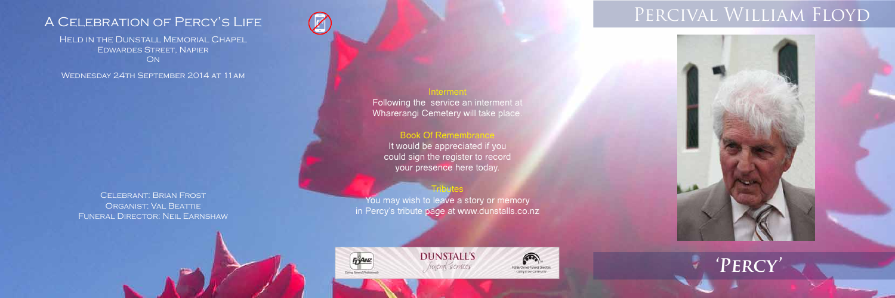Held in the Dunstall Memorial Chapel Edwardes Street, Napier

**ON** 

Wednesday 24th September 2014 at 11am

Celebrant: Brian Frost Organist: Val Beattie Funeral Director: Neil Earnshaw



Interment Following the service an interment at Wharerangi Cemetery will take place.

## **Book Of Remembrance**

It would be appreciated if you could sign the register to record your presence here today.

### **Tributes**

You may wish to leave a story or memory in Percy's tribute page at www.dunstalls.co.nz

**DUNSTALL'S** 

funent services





# A CELEBRATION OF PERCY'S LIFE PROVAL WILLIAM FLOYD